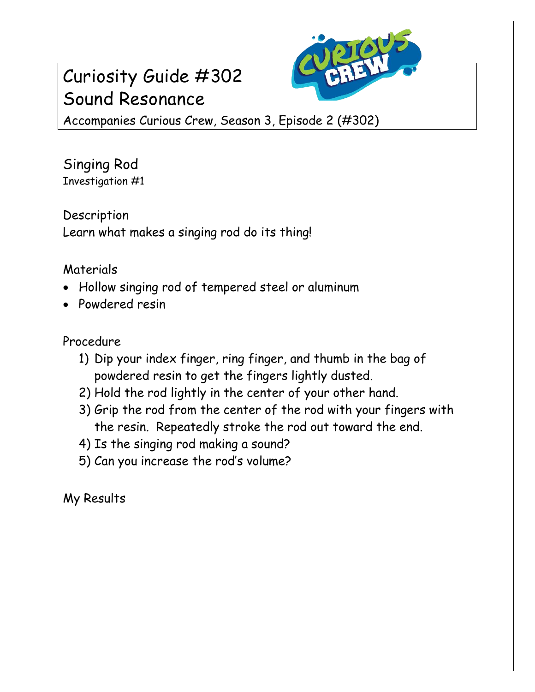## Curiosity Guide #302 Sound Resonance



Accompanies Curious Crew, Season 3, Episode 2 (#302)

Singing Rod Investigation #1

Description Learn what makes a singing rod do its thing!

## Materials

- Hollow singing rod of tempered steel or aluminum
- Powdered resin

## Procedure

- 1) Dip your index finger, ring finger, and thumb in the bag of powdered resin to get the fingers lightly dusted.
- 2) Hold the rod lightly in the center of your other hand.
- 3) Grip the rod from the center of the rod with your fingers with the resin. Repeatedly stroke the rod out toward the end.
- 4) Is the singing rod making a sound?
- 5) Can you increase the rod's volume?

My Results